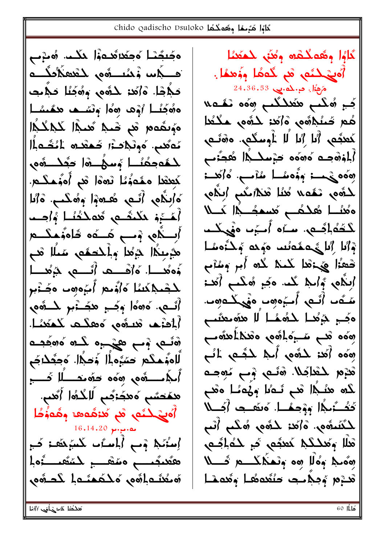ەكبكىل ەككلەرگىدۇا لىكى. ھىزىم َ فَـــِـكَمْسَـ وَّمُنْــــوُّهِ ۖ مَــتَعْتَمَدُّفَــَّـــم تَجْلَفُوا. وْأَهْدْ لِلْـهُمْ وَهُكُلُّ تَجْلِيبُ دَهُجَنُــا آهُم هِهَا وَنَسَــف مَكَــَسُــا هُمِنفُوم هُم ضَبِّهِ مُعَبُّلُ لَكِمْلَكُمُّا مُەمَّى ُولادا خَىشى الْخُدَا لمفودهُنُــا مُسهُـــةَ احتُمـــةَ مِ لَمِعْقَدَ مَعْدَوُمًا نَعْدَا مْعَ أُوَمُعَكُمْ. َهۡ إِنَّكُم ۚ إِنَّـٰهٍ ۖ هُـٰهُ إِذًا ۚ وَهُكُنبٍ ۚ وَٱلۡا أَمْنَهُمْ لِلْنُصُصِ هُولَيْتُمَا وُاحِسَنَ أُسِــٰكُم ۚ وَمـٰــِـم هَــــهُ هُــُاهُ مَـمْــُـــمِّ هَبْسِكَا جَرُهَا وَالْحَصَفَ سَبِلًا هُم ذُه مُعْـــا. أَهْقَـــم أَنْـــم لِمَرْمُـــا لْلَّصّْبِلَا كَمَلَاهُ مَا أُمِّوهِ مَحْتَبِرٍ ٱلَــم. هَ٥هُمْ وَجَــبِ مَجَــٰٓ،بر ـلَـــوُهي أبادوْعا قْدِيُومْ وْهْلْكْ لْمَعْشَا. رْەَتُــمْ، بْمِــمْ جِــمِ مِــدَّە كَمْ مَعْجَــمْ اْلَاهُمَـٰكُمْ حَمَّيُّوهِ أَا ۖ ذُحَكًا ۚ هُجَعُدَاجُم أىبائىسى ۋە ئەرە ھەمدىكىللىك كېسىز همُحَسَّمٍ ۚ مَهجُمْ بَصرِ اللَّــٰهَا ۖ أُهُم ۖ. أَوْتَحِيْنَهِمْ مَنْ مَنْقُوهَ وَهُوَوُهُا  $14.20$ إسْتُكُمْ وَمِعِ أَبْلَسْآَتِ كَتَبَيْتَكُمْ كُبُرِ هَعْبُمُــــم مَنْشَــــزِ لَمَنُعُمـــزُولِ رەشكىگا بەشكىمەت رەشلاھىشەم

كَاوُا وهُوعُدْهُو ومُنَى لَحْمَٰنَدَا أُوتِي لَمُعَ مَعْ لَمْ هَذَا وَوَقَعَظَ ﴾  $24.36.53$  مِ. هُمْ الْمَحْمَدِينَ  $\frac{1}{2}$ كَبِ هُكْمٍ مَعْلَمُكُم مِهُه نْفَصْلا هُم ضَلُلِهُم وْأَهْدْ لِمُهُم عَلَيْهَا كَعِبْصٍ أَمَا إِمَا لَمْ يَا مِسْكُمٍ. وَهُنَّمِي اْلِمْرُوهُ مِـد هُوَهُو مَنْ مِـدْجُا هُجَنُوبا لِلْمَجْمَعِينَ مِنْ مِنْهُمْ مِنْهُمْ مِنْ مِنْهِ بَعَاهَ فِي الْمُؤْدِينَ إِنَّ مِنْ مَارَسِ ﴾ [أكلت: لمؤهب تقمد مُثل مُنكَاسُبِ إبنَامِ هُمُنُـا هُدُمُـم مُسمجُــِهَا كَــالا لْمَكْرِخُوم سبَّاه أَسبَت وَغَيْرَ مَنْ الْمَسْتَمَرَّةَ مِنْ الْمَسْتَمَرَّةِ مِنْ الْمَسْتَمَرَّة وْأَمَلَ إِمَا يَكْمَدُهُ مَهْدَهِ وَمَحْدَّدُهُ مَنْ الْمَرْدَةُ وَمَسَلَّا خَعْدًا يَجْمَعْا لَمَكُمْ لَمُعَهُ أَمِرٍ بِمَفْأَمِمٍ اِنِگُامِ بُواْمِدْ گُف وَجْمٍ هُكُمْمٍ أَهْدَ شئەت آئىي آىيەۋەت ەۋككىھۇەت. ەكب ئۇھا خۇمغا لا ھۇمھنىم رەەە ئىس سىبەبلۇمە مىلالمۇمى رِهَهُ أَهْدَ لَحَدُهِ أَسْلِمَ لَحَقِيمٍ مَانًى ثَدْوِمِ لِلْعَاكِلاِ. شَتَّى وَمِ مَوْصِهِ لَاه هنُـجًا هُـم نُـمُنا مِهُمـُـا مقْم كَثُمَّ بِدَٰلٍ وَوْحِفْ . هَ نَعْسِ الْأَصَــٰ الْأَصَــٰ الْمَــٰ الْمَــٰ الْمَــٰ الْمَــٰ الْمَ لْمُنْسَوُّومِ. وْأَهْدْ لْمَوْهِمْ وْهَكْمْ أَنْسَمْ هَاا مَعَلَّكُمْ مَعْقِمٍ ثَمِّ لَمُمْلَكُمْ } بِهُما بِهِ اللَّهُ وَمِنْكُلُ مِنْ قَصْلًا هْـبْم مُحِجْمِـب حَنْعُدهُـا مِعْدَـا

لَنَا الرَّجَانُ لِهُ الْمُكَمَّنَ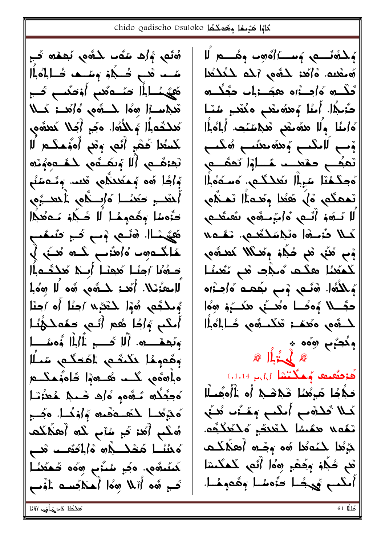هُنَّهِ ﴾اُڪ مَگَف لَدُّهُم نَڪِمُه خَبر سَّـــه قَبِ خُــجُمْ مُسَــعا خُــالِمُهْاَ هَيَّـٰـالِمَا حَـُــهُمْمِ أَوْحَكُـــمِ كَــبِ تَعَجَلْمِسْأَلْمِ وَهُمْ كَسَوْهِ وَأَوْسَدَ كَسَلًا كَعَلَّــُـمَـهِ إِلَّا مَ إِلَيْهِ إِلَيْهِ الْمَعْلَمِ لَعَلَّا مَعْشَمَهِ مِنْ الْمَعْنَاتِ لْمُسْعَدَا ۚ هُمْهِ ۚ أَنَّهَا ۖ وَهُو أُوٓ وَهُمَكُـ مِنْ لَل بْدَرْهُــمِ ﴾ أَلَمْ يُوسُعُونِ مِنْ الْمُسْمَوْيُرْهِ بُوْاجُا هُه بُمعُنذُه هُند. وِنُـهِنَـهُمْ أحقب حكلها واستأمى لمعصوم حَدُّهمْا مِمَّعمِمْا لَا خُـكِمْ مَـعمُكِمَّا هَيَّـٰاًا. هَنَّـٰهِ ثَمِـٰ ۖ خُـٰٓ ۖ حَنُـمُـبِ لَّمَالَكُمُوْمَا هُاهُنَا جَمْدَهُ هُنَّى لَيْ حَدُّهُ الْمَسْلَمِ مُحِسْلاً أَبِيهَا مُحَكَّدُوبَا لْمُعْدُمْلاً. أُهْدَ لِمُسْهَى هُو لَا هِوْمَ مُ مِحْجُمٍ هُمْ لِحَمْدِ لِهِ الْعَلَمِ أَنْ أَحِبْنَا مَنْ الْمَسَلَمِينَ مِنْ الْمَسْرَةِ وَالْمَ أَمثَم مُءَاجًا هُم أَنَّـمٍ حَمَّمَـٰذُكُـًا وَبُهِمْــــو، أَلَّا ثَـــــِ أَاْ أَنَّا وُوسُـــا وهُومِمُا مَكْنُفُو لِمَحكُمِ مَحِلَل ەلمۇھە كى ئەرۋا قاەۋىگى ەجېڭلە ئىۋەم ەلى ئىبا غىندا هَجَرُهُــا لِمَـهُــهِ مَهْلِمَــهِ مَجْلَدٍ وَمَــبِ ھُنگُم اُهُدَ مَّے مُنْامِ لَاهِ اُهتَكَلَّكَ ەدىئىل كىشىلىگە قابائىگىسى قىس لْمَنْعَشُومِ. وَكِّعْ شَغْرَمِ رُوَوُهِ كَمَعْتُمْ َّكَ وَهُ ﴾ [الله روهُ| إِنْمَلاَكِسَـٰهِ ۖ يَاوُسِيَّ

وَحَدُوْنَـــم وَسَـــا ُأُوهِ وَهُـــم لَل هُ مُعْيَدٍ. وَأَهْدَ لَحَقُوبِ آلِكَ لَمُلْكُلاً كَلْـــــره كَاهِــــةَاه هجَــــة إلى حجَّلَــــره حَنْبُما أَسُا بِهِ مِنْهِ سَفْعٍ مِنْفَعِينٍ سَبْلِ هَ أَمِثًا وَلَا هَوَمِنْهِمْ هُجُمْنَيْتِ. أَبْلَهُ أَا وْبِ لَانْكُبِ وُهَوُنْفَقَيْبِ وُنَكْسَبِ ثعفُب حقعت مُطوَّرا تَعفُّنِي َەجِكْمُنْا مَبِيْلَا بَعَجْكُمٍ. وَسَوَوُلَا نَعْمَلُكَ وَلَى هَعُطْ وَمُدْءَأَا نَعْدُوم اَلْمَ نَسْمَهُمْ أَنْسَمَ وَاجْتِمْسَوْمِ مِنْقَصَصَهِمْ وَالْمُسْتَمَرِ كَمِلًا ضُمِيعًا وَلَجْمَعَكُمْ وَهُدَا اللَّهُ مِنْ بْمَ هُنَّى هُم حُكِّمْ وَهَـْلَمْلَا يُمَصُّوهِي لْمَعَنْا هِنْد مُجْد مْع نَعْسُا مَ اللَّهَ السَّفَعِينَ وَسَمَّ بِعَقْفِ وَأَصَّرْوَا وَالْمُسَلَّمَةِ وَالْمُسْتَرَاهِ حَفَّــلاً وُهرُــاً هرُسَـنَى هَدَــُزِمَ هِمُا للسؤهر ومُعمَّد تَعكَسوهُ صَالِمُهُمْ وكُجَبْ وهُ مِنْ يُوَ الْمَرْكَبِينَ مِنْ الْمَرْكَبِينَ مِنْ الْمَرْكَبِينَ مِنْ الْمَرْكَبِينَ مِن<br>مَرْكَبِينَ مِنْ الْمَرْكَبِينَ مِنْ الْمَرْكَبِينَ مِنْ الْمَرْكَبِينَ مِنْ الْمَرْكَبِينَ مِنْ الْمَرْكَبِين كَرْحَقْصِيهِ مُسْتَنْشَأَ إِلِي 1.1.14 كِلَّاجُا مَٰٓمِعُمُا فَكِلَّكُمْ أَه الْمُعَصُلَا كَمِلًا ۚ قُطْهُ مِنْ أَمَلْكَنِ وَهُنَّاتَ هُنَّىٰ تْفَمِيا مْكَنْشَا لْمُعْلَجْمِ مَلْكَلاَبُهِ. لَّذِهُا لَكُمُعَهُا هُو هُدُهِ أَهْلَكُمْ ۖ هُم حُكِّمَ وَهُمْ وَهُمْ أَنَّعَ لَمُعَلَّسَا أَمْكَبِ فَهِجًا حَنَّومُا مِقْعِمِمًا.

لَّهُ الْمَسْتَمَامَ الْمُحْكَمَةِ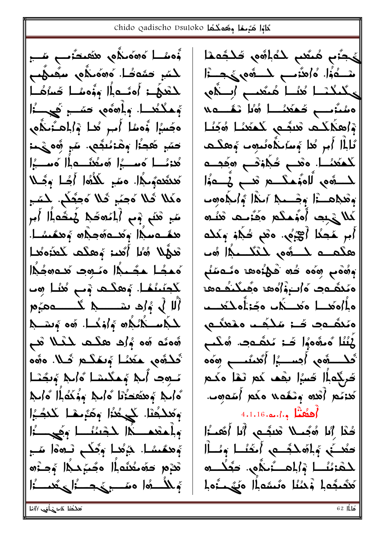ذُهسًا هَمَهَهُم مِنْقَضَةٌ فِ مَسْمَدُ لْمَسْمِ حَمْدَهُا. هَ‰َنَدُّی سَعْنَهُم للفله: أُهنَّــهِ أَلْمَ بِهُوسًــا صَّامُــا وَحَكَمَدًا وَأَرْهُمْ صَفِ فَيَحْتَمَلْهُمْ إِنَّ ەكسرًا مُّەسْل اُمبر هُما مْلِماهْمْمْلِمْم نعنَ وهِ بَمْهِ مِعْنُدُومٍ مِنْ يَمْعَ هُدَنُـــا هَسَـــبُرا هُمعُنُـــه الله هســـبُرا كَعْتَقُومُ بِمَا. مِمْعِ لَمَلْهُا أَجُلْ وَجَبَالَا هَكْلًا ثَمَلًا مُجِبِّعٍ ثَمَلًا مُجِعَلِكٍ. لَمَسْبِ مَّعِ ثَلَمٍ ثَمِمٍ أَلْمُدَهَكُمْ يُعَشَّدُ أَمِرِ محكـــوسكال وكلـــوهوجكاه ومحكــــا هَيْمًا هُمَا أَمَّد: مُعْلَم لَمْعُوَمُكَ هُمجُا مجُمِدًا مَنْهِدٍ هَدَهِ لِكُمْ لْمِنْسُلُمَا. مُعلَّم مُس مُثَارِم أَلَا فَي وُلِدِ بِشَــــــــــمِ كَــــــــــومَزِم لْمُكْسَـٰكُكُمُرُهُ مُ اُوْكُــا. هُه مُحِسْــكِ هُومٌه هُو مُ}لِّد هلَّده لِمُلَّل هُم تُطْبُوهِ حَكْمُا مُحَكَّم ثَمَلًا. وَهُو مُـهِد أَبِهِ مُمكَّسْـا ٱواجهِ مُتَّسْـا هُ/مِهْ مُحصَّحَٰنَا مُ/مِهْ مِمُكُمُّا وَالْمِ وَهَدْهُنَا. يَكْمِحُدُا وَهُبُرِيهَا يَكْجُبُوا انسحفو الشنشك الفسعقماع بُوهكَنشَا. جَرْهُا بِمُكَنَّ تَـْوَهُمْ شَـَرْ هُبْمِ حَمَٰى مُحْتَمِلًا مَجْبَى حَبًّا مَءَبّ انمستفرض انمستهز بمستوم اهكم تج

لَهُجَنُم مُمَّعُم لِمُمْلَمُونَ مَلْجُمَعْا مْسَـّْمُوْلَ وُاهْنُوبِ لِمَسْـَدُّوْهِ وَسَيْحِــْزَا رەلانىغا كىنىشلىك كىنىشى كىيىشى كىيىشى ئىل ەمئىنُەك ئىمكىنىما شاشقىللە وْاهِكُلْمُكُمْ هُلِيُمْمِ لَكْمُعُمُدًا هُجُمُدًا تُابْلَا أُمِرٍ هُا بِمَسَاحَةُوسُوْمَ بِمَعْلَـمَدِ لْمَعْنُــا. ەقىم ئىكەنى ھەمدە لِمَسْتَوْمِ لَلْمُهْتَمَّكُمْ هُمْ يُمْسَمُوْا وقعلاهسأا وضمعا اللأا والمكاووب مَلْلا يْبِبْ أُهُمُمْكُمْ هِكْمُسْتَهْ شَلْبَهِ أَمِرٍ ـمُـمِـدًا أَيْخِرُو ۖ. هَمْ خُـدًا وَ دَلَـدًا هلْعَــه لَمَـــوُهِ لِمَلْكَـــمِلَا وُم بِهُوَمٍ رِهَهُ وَ هُوَ هُؤُوهَا وَعَهَنَّهِمِ ومُعصَّدت وُاسروْاوُها وصُكْنفُدها وبأاوكعا وكسنك وجزأو لكعب ەمُلگىمە كَے مَلاَكِف مَقْعَلُنَام لِّنُنَا هُ مَوْهِ إِمْ ذَا مَدْهُ عَلَى مَدْ مَكْس ُفْلَــــوُّهِ أَمِسْـــبُرَا أُهُننُسَـــمِ رُوَهُه صَّرْبُهِ إِلَّا ضَبْرًا بِفْفٍ كَمْ نَمْلُ وَكُمْ كَذْتُمْ أَكْلَاهُ وَتَكَلَّمُكُمْ مَكْمَ أَمَّدُوهُ .  $4.1.16.2.1.2$ َحُدًا إِمَّا هُجُمِــلاً هُنبُنِــمِ أَنَّا أُهُمــُ;ا حَقْبُ مُلْأَمَلِيْتِ أَيَثَنَا مِنْالًا لِلْمُزْنُنُسَا وْإِلِمِسْنُوْلُونَ حَقَّلَتِ م لمِعْمِيْهِمْ أَمِنْنَا مَسْمَمَا الْمُحَمَّدِينَ

لَّهُ الْمَسْتَمَامَ الْمُحْكَمَةِ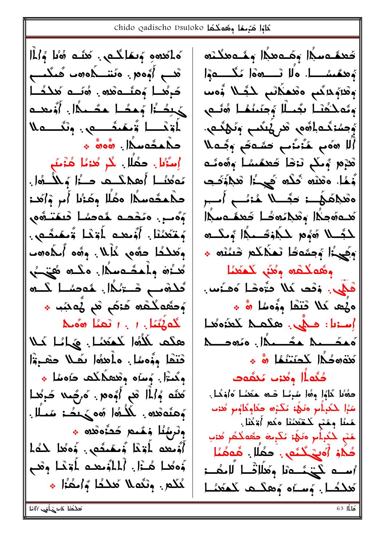كَلَّهُمْ كُمُوْ مُحْمَدٌ كُمَّا Chido <sub>Q</sub>adischo Dsuloko

هَ أَهْلِهِ مِنْ مَا يُحْسَنُ مِنْ أَوْلَمْ الْمَرْكَبِينَ مِنْ الْمَرْكَبِينَ مِنْ الْمَرْكَبَةِ ا قب أُوُهِم . ەنشىكاەھە گىگىب صَرْهُما مَعْنُمْدُهُ. هُنُمْ هَدْشًا كِيشُةُ وَحَصًا حَصَّىلًا. أُوْمِعَت أَوْنُمْ أَرْتَفْتُمْ وَالْمُسْمَعَ الْمُسْمَلَاتِ  $\leftrightarrow$   $\mathring{\mathbf{C}}$ إِسْرُّا . حمَّال لِّر مُدْمًا مُنْزَعَج مَعمَّسًا أَهمكــم صــُزَا مَلكُــمَّا. حكْلِمحُدسكُال معُلَّالٍ مَعْنُا أُم وْأَكْدَ رُهُ مِي. وَمُكْعَدِ شَوْعِسُا فَيَمْتَدُونِ مَعْكَمُنْا ﴾ أُوْمِعِدِ ﴾ أَوْخَا وُمَعْدُوں ﴾ ومَعْلَـفًا حَقَّقٍ مُلَّىلًا. وَقَوْمٍ أَسْلَمُوهَب سُنُرْنَ وَالْمُصْدَمَالَ. وَلَدْ فَيَنْ مِنْ تُعْلَوْم ۖ صَـٰۃِنُكُمْلَ. هُـُوصُــا گُــُرُّهُ مُحَقَّعَكُمُهُ هُمْ هُمْ يُعْبُبُ \* لَّكُمْ يُمَّلُ: 1 . 1 نَّعْنُا 200ْ سَدَ لَمَاسَ بِهَمْنَا بِهَامًا كَمَلا فَتَقَا وَذُومًا. وَلَمَعُوا بَعْدًا كَفَحَ وِيُمِيَّا. وَمِيَاه وِيُعِيمَكُم جَاءِمُهُ \* كَفَّفَ وُالْمَالُ ثُمْ الْهُوهِ ۚ. وَرَضِّيهِ صَرْفُهَا مَ الْمَدْ مَنْ أَشْرَاءَ مَنْ الْمَعْدَ مَسْلًا بِمَسْتَدَمَّةٍ مِنْ الْمَسْلَمَةِ مِنْ مَسْلَمَةِ ب وتَرْمَيْنَا وَحَمَدُوا مَحَدَّدُوهُ \* أُوْمِعِهِ أَوْلَا أُوْمِكْمَهِ ۚ وَهُوَا لِحَدُّلِ هُوهُما هُـُزَا. ٱلْمَانُومِهِ ۖ مَاٰ ذَهَا ۚ وَهُم مُكْم. ونَعْمِلا مُلْكُلُّ وُامِعُوْلُ \*

صَحْصَصِبُمَا وَهُـــوَمِبُمَا وَخَــوَمِحْــدَة وُهِ اللَّهُ عَلَى اللَّهُ وَأَوْلَى مَعْهُمْ الْمُكْسَنَةِ وَإِنَّهُمْ الْمُسْتَوَاتِهِ الْمُسْتَوَ وَقَلاَمُ دَائِكَ وَقَعَظُكُمْ لَيْسَا وُوَمِنَا وَمَعَاجَدَهُمْ الْمُحَسِّلَ وَمَعْنَاهُمْ الْمُحْسَنَةِ مُحِسُرْشُـْدِياْهُومِ ۚ ثَمْرٍ يُعَشِّبِ مِنْجُشُـُدِي. ٱلْا «ەَم عَنْنُنَ حَسَّـٰهَ ۚ وَقَـٰهَا ﴾ َىْتْزَەر بُمِـكَى نْزَحْل خَـْمَـْمُـكَـل بِمُومَـَّـد هُمُا. ەقىلە كَلُه كَهِيمُ الْمَلاَوُكُب ەقىللىقى كېشىلا گائىسى أمىبر كحدة جكال وتحج عوشا كعكم مجال لِمِّمَـٰلاَ وَوُمِ لِلْكُلُّوَصَّـٰدُواْ وُمِنْـَـوَ وَهِيءُ أَمْ مِسْمَاهُمْ لَـمَكْلَمْ لَا شَعْنُوه ﴾ وثقولكقو وفئني للمغنا قطيي. وْقْعَدْ كْلَا حَزّْهْهْا مْعَذّْمِينْ. وَيُعَدَّ كَلَا قَتَقَا مِؤْوَمِّهُ \* \* إسنط: هي. هكمة لمُعدَّوهُم كمكملك مكران وموصد حُكَماً وهُذب مُدَّعُوف حَمُّنَا كَابُوا مِمَّا شَيْئًا ضَمَّ حَكْثُنًا مَاهَكًا. مَبُرْا لِلْكَرِبَاسِ وَنَاهُمْ مُكْثِرَهِ حَكَامٍكَاهُسٍ هُدَب لَّمْمُا مِمْنِي لَاحْتَحَنْنَا مَحَم أَوْخُنَا. عَنْمِ لِلْكَرِأَى مَرْيَا مُكْرِمَةٍ حِثَّقَهَكُمْ ثَدَبِ صُلُمْ أُونِيْ كُنُمٍ . حمُلًا . هُوهُمُا اسمه التَّحَسُّمَةُ وَمَعَلَّاتٌ الْمَمْدَّ مُلْكُلُّ وَسَاهَ وَهِنْكُمْ لَمْعَيْنَا

مُحْدُمُهُ لَهُ مِنْ أَمْرَ الْمُحْمَدُ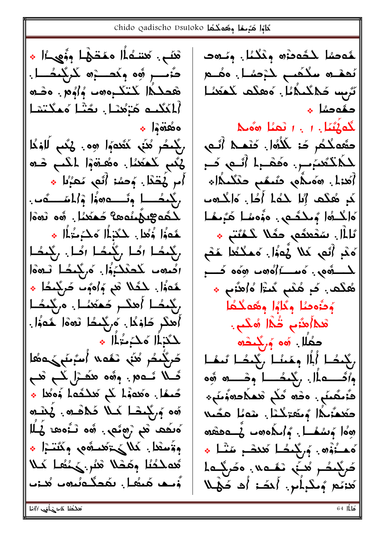جُنسر وُهِ ومُحسنُ الْمَ الْمَرْجَمِعُهُ الْمَ هُعِلْمًا لَمُتَكْبُوهِ وَأَوُمٍ. وَضُع أَلْمَكْتُ هَتِرْهُنَا . تَحَتْتَلَ مَعَكْتَسْتَلْ ههُوُمُ \* رِبُكِيعُرِ هُنِّي لَحُقَوَمِ! وَهِ . وَلَكُم لَاهِ كُمَّا لْجُمْعِ لَاهْتَمَاءُ وَهُوَ وَأَوْلَى الْمَكْسِ وَصَرَفَ أَمِرٍ يُصْدًا. وَصُدْ أَنَّعِي مُعَزَّمًا \* مِكْمِحُمْسَا وِتَسْمَعَهُواْ وَٱلْمَسْسَوَى. اَهُ مَعْ مَشْهَدَ مُعْمَدُ ﴾. وَهُ مَعْمَدُ هُوَٰٓۄٗ وُّهٗا ۖ. ۖ كُنۡٓٓٓ كُلَّا ۚ وَكَـٰٓ وَتُوَاۚ ﴾ رجّْمَحْا احُا رجّْمُحْا احُا. رجّْمَحْا اضَعْمَدَ لَلْحَكَلَهُمْ أَنْ مَرِيَكُمْكُمْ أَسْعَاهَا هُوءُا. لِلصَّلَا هُم مُءُومٌ صَرِبُكُمْ \* لِكْبِحُا أَهْلَى حَكَمُنَا وَلِيَحُمْ أُهلُر حَافِطًا وَ وَبِكْلُهُا آلَاهُ أَعْدَوُا }. لِكُبْرَاْلُ مَكْرَضُوْلُ \* صَرَّبُهُمْ هُنَى سَعْدَهُ الْمَسْرَعَى مَعْمَلَا ئَــلا سَــوم, وَوْه مِفَــْمِ لَلَــمِ مَنــمِ صُـُـطا . ەَهْدەْمُـل كَــل هَدَدُه لَـ مُوهُدا ﴾ . هُه مَ الْمَسْلَمِ لَكُمْ هُو عَلَيْهِ مِنْ الْمَسْتَرْدِهِ ﴾ [الله عنوان] هَ مَعْهَ مَعْ رُومُهِ وَ مَعْهِ مِنْ اللَّهِ وَوَّسْعَلَ كَلاَ يَجْرَهُمْ وَكَيْتُتْمَ وَالْمَحْمَدِينَ مِنْ سَمْ لَمِثْنَ الْمَحْمِ الْمُحْمَدِ الْمُحْكَمَةِ مِنْ الْمَحْكَمَةِ مِنْ دُمك هُيعًا. يَعْجَدُونُيومَ مُدْمَ

مُهصمًا لمُحُوضُوه وِمْكُمًا. وِمُـود ئفقـە سَكْفَىــم لْـبْصَـٰا. ەھُـــم تَرْبِ ۖ حَمْكُمْ مَا . هَ مَعْلَم لَمَعْمَا دمٌه دمُه \*\* لْحَوْيُّمَّا. 1. نَعْنَا 200ْ حقَّعككُم حَـٰ لَمَلَاهُ ]. كَنْصَـٰهُ أَنَّـٰهِ لْمُلْكُنبُسِنِ. ەَفْشَىزا أَنَّـى ضَـر أَهْدَا. «ەَىدُّە ئَىسُم صْلَكْمَا» كَمِ هُلْكَ إِلَّا لَكُمَا أَصَّا. وَالْحَدُوبَ َّەٰلَّكُمُّا مُكْتَـٰمٍ. وَمُوْسًا هَرَّمَطًا بُالْمَا. سَفَعفُمِ حفًا لَكَمُتَم \* هَٰذَمِ أَنَّصِ لَمَلاً هُوَٰءًا. هَمَكُعُلَ هَضْ كمستَوى ومستَغَارُهُ وما مِنْ مِنْ مَسْمِدٍ هُكُم. مُ مُنْم مُنْزَا هُ اهْنُو \* وَحَدُّدَا وَكَاوُا وِهُمَكُـٰهَا } قْلاَاْمْنُا وَالْمَالِمِينَ وَالْمَالِمِينَ حَقُلًا . هُم مَّ كَمْشُرُه بكحكا أبأا وكننا بكحكا تعلا وأفَـــــه أل بِكَــمْــــــل وفــــــده وُهِ قُنُمُنَّعَ . هَدُه كُلَّج تَعْمَلُحَدَهُ مُنْعَةٍ حَعْدُنُمَا بُمَعْتِكُمْاً. مْعَاماً هَصُلاً هَــُزُوْهِ ـِ مَٰٖٓ مُلِّـكُـا هَدَكَــِ مَنْـَا ﴾ صَرْبُهُم هُنَّى نَفَــْمَـلا. ەصَرْبُـْـما كَنْدَمُكْمْ بُمَكْبَلُسْ. أُحْضَدْ أَتْ ضَهْلُمْ ا

الخالف معاشر الفكض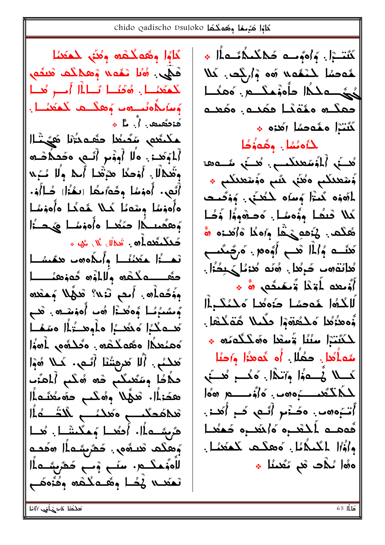كَاوُا وهُوكُدُه وقُنِّي كَمَعْنَا فَكِّي . هُا نَعُمْهُ وْهِدْكُمْ مْشُمْ لْمَعَنْـا . هُكَنْـا نَـالْمَا أُمــر مُنـا ۇسابلاەئىسەت ۋەلمى ئىككىل. َ هُ: حَقَّمتِ الْ الْمَسْرِ الْمُسْرِ الْمُسْرِ الْمُسْرِ مِنْ الْمُتَعَلِّ مِنْ النَّرْضَ لَهُمُعَا حَقَّمَتُوا هَيْمًا أَلْمَ هَذِ. وَلَا أَوْنُو أَنَّصِ وَحَقَّدُهُمْ الْمَدَّةُ وتُعِدْلًا . أَوْحِدًا مِرْثَمَا أَبِي وَلَا سُبَيْدِ أَنَّعِي • أُوفِسُا وِحُوَّامِكُا [بِمُزُا] حُـالُهِ • وأوزها وهوما كملا لهوكا وأوزها أنمرو للمفوأه للمختم المستفوم كَكْتْݣُوه لْمْ ورونْ وْمَالْقْ بْلّْ رَبّْنَا وْمِي مْ تَمِّدُ الْمَعْنُنُّا وَأَنْكُوهُ فَقَيْسًا مِهُصَمَاهِ . أَمِي تَنِيه؟ تَعَهُّلاً مُحْمَّدَه مُعْسَبُنًا وُدَعْنَا هُ أُدْهَدُه . ثَنِي كَمَـٰهَكُـُمْ أَمَكُمْـُمْ أَمْ وَالْمِعَـٰٓءَٰٓاْ الْمَسْـَـٰٓا هُمَنْعِدًا مِثْعَمَدُهُمْ . مَعْلَمُهِمْ لَمِنْهَا كَعْكُمُ . أَلَا كَعْرِهِنْنَا أَنَّـٰهِ ، كَـٰلاً هُوۡٓا حَكْمًا مِمْعُنَكُم خُمْ هُكُم ٱلْمَنَّف هَكَنَاًا، شَهْلًا وَهُكُب حَهْنُفْتُمَاْ! هَكْمَعَكْبِ هَلاَمُبْ لِلْقُسْمَاْ! دَّمِيْدِ وَالْمِنْ أَحْفَظَ مَحَمَّنْشَطَ قَالَ مَ وَهِكُم مُسْوَّى ِ. حَصَّ بِمُسَالِ ( مَقْصَد الْمَهْمِكُمِ. سَنَــح وَبِ حَصَّرِيتَــماُ! تَعَفَىلا يُضُا وِهُـعَدْعُه وَفُنُوهَمْ

كَتَبْ إِ. وَاهْوَمْ كَمْكُمْ الْعَمْلَةِ وَالْمَجْمَعَةُ الْمَجْمَعَةُ الْمَجْمَعَةُ الْمَجْمَعَةُ ا لَمُعصَفًا لِمُنْقَمَدِ وَهُ وَأَرْبَكِ بِ كَلَّا حُدُّ وَالْمُؤْمِنُ مِنْ مَعْمَدًا حملْه مِنْقِيْا مِمْدِءٍ. مَمْعِدِهِ لَتُتَبَرَأُ مَقَوْصُلُ آهُدُهُ \* لْأَوْسُلْ. وِهُوَٰوُكُلْ كُلْمَ أَلْأُوْمُعْلِكْسَى ﴾ كُلْمَيْ شَنْدُهُ لَهُ مُسْلَمُكُمْ } مُشعنكم ەكنُى شَم ەُمُشعنكىم \* لِمُوْهِ كُنْزَا وَسَاهِ لِلْعُنَىٰ. وَوَقَّىك لَمَلا قَبِقُا وَوُوسُا ، وَدَوْوَوُا وَقُلْ صُّ أَمَّاهُمْ وَالْمُعَامَلُ مِنْ مَسْتَمَرَّةٍ مِنْ مَسْتَمَرَّةٍ مِنْ مَسْتَمَرَّةٍ كَلَّــْـهِ وُآٰلًا ۚ قَــَــمِ أَوۡهِ مَعۡ مِنۡمَــَـمِــمِــَــمِــمِــ هَانَقْهِ - هَٰذُا بَهُ هَٰذُا الْمَجِعَةُ الْمَجْمَعَةُ الْمَجْمَعَةُ الْمَجْمَعَةُ الْمَجْمَعَةُ أُوْمِعِهِ أَوْلَمَا وُمِكْمِكُمِ \* \* لَالْحُوْا هُءَهُمَا جَزْوَهُا وَحَمْكُمِٱلْ وَّوهدُهُا وَحَكْفَةُوْا حَكْمَلًا هُـٰٓعَكُـٰهَا . لْكُتُبْرَأَ سُئُلَ وُسِعْلِ وَهُكُلُومُو \* مْعالُمًا. حمُلًا. أو مُعمْرًا وأحبًا كَمِلًا يُحْدُواْ وَأَنْذَا. وَكُمْ فَصْنَى لِمُلْكُلِسِبُوهِ فَالْمُوسِيمِ هَا أَتَّبَّهُ مَاءٌ . هَضُّنُو أَنَّبَ كُمْ أُهْدَى قُومت المَكْتَبِهِ وَالمَعْتِهِ كَمَعُنَا وْأَوْاْلِ لِمَكْمَانِكُمْ وَهِنْكُمْ لَكُمْعَدُلِ. ەھ اگلات قىي ئىچىنا ھە

لَّهُ الْمَسْتَمَامَ الْمُحْكَمَةِ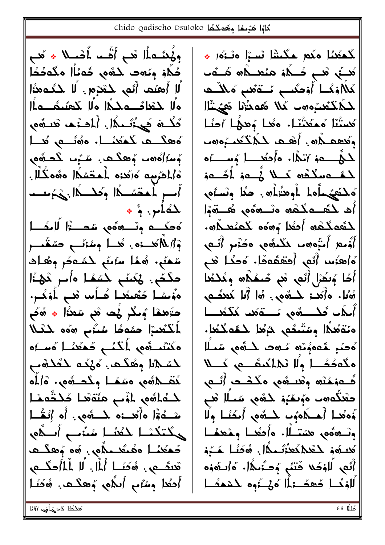وِيُحْسَماًا هَم أُقْت أَصْباً \* هَم حُكُمْ ومُهِد لِللهُم حُدمُاْلِ مَكْدَحُطُ اً الْمَفَعِدِ أَنَّفِي لِلْعَبْرِمِ . اَلا لِلنَّبِعِيدَا ولَا حَقَائَـــوحَكُمَا وَلَا حَقْبَقَــوَالَ كَنْدَهَ فَيْخُرُسُمُّا فِي أَمْدَنْهُمْ مُحَدَّمَهِ مِنْ مَحْمَدَةِ ەھلاھە ئىمكىئىل. ەھقىم كىل ەُكْمَرْسِتْ دَاكْدْدْ لْمُصَطَّلْ دَرُّەنْدَلْلْ . أمس أَعتَسُـدًا وَكَــدًا. لمُهْلُمٍ. مِنْ يَجْمَعُ هَ حَكِيمٍ ونَسْدَهُمِ مُحَسَّرَا لَامُحُسَّا وْٱللأهْــزه. مُنــا وِسُرْنَـــ صَنْفُـــر سَمَعَ، هُمَا سَاسَعِ لِمَسْوَمُ وِهُاد حكَّمَ. وْكُنَّم حْمْعًا ه/ُس كَوْخُا ەُمْسُا خَتَمىنُھا ھُـاُس ھَـى لَمْهُـر. حَرَّهمْا بُمِكْرٍ يُحِبُّ شَعْبًا \* هُجَّ لَمْتَعْبَرَا حَمَّوَهُا سُنَّى ۞ وَوَ لَمْتَنَا ەنتىسۇە كۆتىم كىقىلى كەستە لمسَمْلِ وهُلُم. وَيُدَه لِمُحْدَوْب مَلَّاهُ مِنْصَاحِ لَكْمَهِ وَالْمَاهَ لمُمَاهُم الْمُبِ هَتَمْهَا مَلَقُمَهَا مْسَــُوةًا وأُهْـــزه لَمَـــوُّوبِ. أو إِنْـقُــا ومأسنة المنشاط المتكتلات كَمَعْنُمْا وَهُنَّعْمَدْوِي. وَهُ وَهِنْمُ عَ هَنصًــم . هُكَـُــا أَلَمَا . لَا الْمَأْصَــُـمِ أَحتُنا وِسْآمِ أَنَّكُمْ وَهَنَّـمَ. هُحَنَّـا

لْمَعْنَا وَلَامٍ مِكْتَنَا نَسْرًا وَتَزَوْرَ \* كُنِّبَ قَبِ ضُـكُمْ عَنُعْـكُمْ هُــَّفَ لَمَلاهُ مُــا أَوْحَكَـــم كَـــٰةَ هُلم مَاللُــف لْمُتَعْتَبِهِ مَا هُءَ دُرَا هَيْ أَلْمَ مَعْتُنَا مَعَعَتُنَا. ومُحا مُعِظَمَ اصْلَا وكععمدهن أعمم للكلكعبءهم لِمُسْمَوْ ٱتْݣَا، هِأَمْعُسْاً مُسْسَوْهِ رەنسۇم لىف مەللىشىمل لمەلمىزى ئىكەن أه لمشاعلكمه متسوءُه هُـــوَمْ ا لمَشْمَلَكُمُه أَصْلًا وَهُمَه لَمْكُمْعِلُهُه. أُوْمِع أَسْوَهِ مِنْ اللَّهُ مِنْ اللَّهِ اللَّهِ َهَ}هدَ الله الْعَقْمُوهَا وَحَمَلَ هُم أَهُا مُحَمَّرَا أَنَّعَ هُم مُحَكَّدَه مِكْتُفَا رُهُنا. ه/ُمَد: كُــوُهي. هُا أَمَّا كَعفَــمِ أَىكُ كَنْـــوُوبِ مُـــقَّقْد خُذْخُنَـــا وَعَوْهُمُ الْمُتَنَبِّصَ جَرْهَا لَكُمَكَهَا. هُ صَبْرٍ هُدَهُ مُنْهُ مُسْمَدٍ مُسْلَمٍ مُسْلَم مسَّدَحُصَــا وَلَا تَمْلَعُصَبِي كَـــلا هُـــهِمْـلَاهِ وِمُعَـــهُم مَكْـفَــد أَنَّــم حَقَنُكُمُوتَ وَمُحَكِّرَةَ لَحَدَّةٍ مَعْشَلًا قَبِي أَوْهَدًا أَهْلُومُ، لَمْسَوْمٍ أَنْفَعًا مِلَّا وتسوؤوا متنال وأحفظ وخملا كْتِيهُو ۚ جَاجْدُ بَعَدُ ٱلْجَدَٰدُ ﴾. وَوَصُلُ جَاجَوْ أَنَّعِي لَامْكَدْ قَتْنُمْ مُحَـَّدُكُمَا. وَاسْعُوْهِ للفكا كعكنا أهكنوه للتمكا

لَهُ اللَّهِ مِنْ أَيْضًا مِنْ اللَّهَ اللَّهُ عَلَى مِنْ اللَّهِ مِنْ اللَّهِ مِنْ اللَّهِ مِنْ اللّ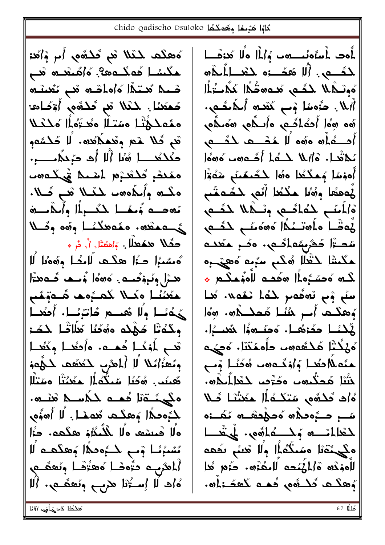ُەھلُّگ لْمَلْلا مْع قُلْمُوم أَمر وْأَمْدْ ملَّسُا فَملْـمِعْ ۚ وَاهُـضُـهِ مْـم صْـٰـٰهُ كُنْـٰـٰهُا هَاهاطْـُه هُــِ نُعْبُـنُـه صَعَعْمًا. لِمَمْلًا هُم مُحْدُّوم أَوْصَاهَا مفَعِدْهُتْـا مِمْتَـلًا مِعْـتَهُمَّا مَحْـتَـلًا هْمْ قُلًّا ۚ هُمْ وَتَعْمَلُاَتُلُاهُ ۚ أَلَّا كُلُّسُومٍ حكلكمـــا هُمُا ٱلللهُ حَبِيدًا مِنْ عَبِيدًا مَعْدَمِ ثَلَّكَتَمِ السَّلَّةُ يَتَكَلَّمُونَ ەلْمە بِٱللَّاەەب لمىْمالا تْعَم قَىلا. مَهجد مُعْظَمِ الْمُحْرِمَٰ الْمُؤْمَنِينَ مِنْ يُو عَمْلِهِ. وَهُوَهْدُكُمْ إِمْهُو وَقَصْلًا حَمْلًا مِنْمَعِلًا : وَاحْمَنَّا : أَنْ مَّ \* هُمسُمُ! حدُّا هكْم لَامُمَا وَهُوْنَا لَا هَـَرَاجِوَنَدِهُـدَةَ . وَهُوَاجُ نَدْهَدُوا اللَّهُ مَعْنُنَا مَكَلًا كَعَجُمْهَ هُـُعَوِّمُب كُمُنَا وَلَا هُمِيعَ مُآتَوَيَا. أَحْقَبَ وحْدُثًا حَهْدَه وهُمَنَا مَعَلَاثًا لِحَدَّ: هَبِ لَمَهُما هُمِيهِ. ه/ُطَعْنَا وِكَعُمَا وِمُعْذُامُلاً لَا الْمَعْرَبِ لِلْكَفَفِ لِلْكُفَاءِ هُمِنُ . هُجُنُا مُحَكُّماً هَجُنْتًا مَعَنَّلُ مثيئة أكسم لمكمسك محشوه. لْدُومِكُمْ إِمْعِنْكُمْ ثَعْمَدًا ﴾ لَا أُهْوُم وُلَا فَعِيشِهِ وَلَا يَلْأَجُرُوْ هِكُمُوْ. جُزَا مُسُبُّسًا إنِّي لِلزُّوصِلَا وُهِكُعَـٰهِ لَا ألمعَ بِهِ حَرَّهُ صَلَّاهُ عَائِشًا ۖ وَنَعْفُصَ هُ}د لا إســُرْنَا مِرْبٍ وِنَعفَــمٍ. أَلَا

لحدٌـــم. أَلَا هَـَـــزه لحقــالمُـلأه كَمِنْـكُلّا لِكُـمِ مَحْمَدُوا كَكَلْـخُلّا أالملا. حنَّومُا وْبِ كَقْدُهِ أَيْكُلْمُصَوْمٍ. رَهُمْ وَهُمْ أَحْمَلْهُمْ وَأَسْلَامٍ وَهُمْ وَهُمْ وَهُمْ وَهُمْ وَهُمْ وَهِ وَهِ مِنْ وَجِهِ مِنْ أحَسْفَاهِ وَهُوَ لَا هُشَيْعَهِ لَحْقَسِهِ كَاثْعًا، قَالَها لَكُمَا أَكْتُمُ وَمَعَاهَمَا أُومَنَا مَعْكَفًا وَهَا لَكُنْفَسَ بِمَوْرَا يُّەھمُا وەُل مىلاھا اْئَى للصَّمنَّى ةَالمَسْمِ لِمُمَادَّــهِ وَسَــٰهَا لِلصَّــهِ بُعَثْمًا مِأْمَّتَىٰمًا مَعْمَلُونَ مِنْ الْمُسْمَىٰ مَدَّاتُ هُمُّ مِنْهُمَا فَــهِ . وَفَــمٍ عَعَدَــمَ مكشا لمثْعْلَا مُكْم مبْرِهِ مَعْهُجْرِه لْدُه وَجِسَبُوءاُ (وَقَفْتُ الْوَهُمَكُمْ \* سَٰعَ مٕۡ ۚ وَمَا وَهُدَا مَعَهُ ۖ وَلَا مَعَهُم ۖ وَلَا يَعۡلَى اللَّهَ وَهكــم أسر حسَّا مَـصلـــدُه. وهُا لِكَحُمًا حَدَمُها. وَصَحْدُوٰ التَّحْسَرُا. مَهْكُنَّا مُحْشَدە حاْمَعْنْقَا، مَحِيَّ مِنَّهِ ﴾ وَهُوَ دُو مُ عَلَّمَ وَمَنْ أَوْ مِنْ مَنْ الْمُؤْتَّسَ وَمِنْ الْمُؤْتَّسَ وَمِنْ الْمُؤْتَشَر لثُّلْهُ هُجِنُدُهِ وَحُزْمِهِ لِلْعْلِلُمِيَّةِ وَ. هُاه مُحْدُّوه مُتكْسُواْ مِعْتُنَا مُحَا سُمِ حَسَرُه دَالُه هُجَالُهُ مَكْمَـدَه لمستقيل ومؤلم كم مسالمتك مصفْ مِنْتَ الْمِمْلَكُمْ أَمْتَنَبَّى مَا مَسْتَمْتَ مَنْ المُهْدُه وَالْمُحْمَدِ الْمُؤْهِ، حَزْمِ هُا وُهِكُمْ قُلْبُوهِ وُهُمْ كَلِهِجَاءَاهِ.

لَّهُ الْمَسْرِينَ أَيْضًا مِنْ الْمُسْتَمَرَّةِ الْمُسْتَمَرَّةِ الْمُسْتَمَرَّةِ الْمُسْتَمَرَّةِ ا